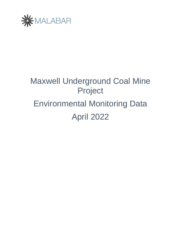

# Maxwell Underground Coal Mine Project Environmental Monitoring Data April 2022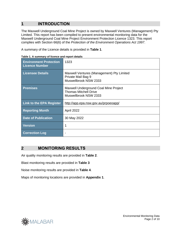# **1 INTRODUCTION**

The Maxwell Underground Coal Mine Project is owned by Maxwell Ventures (Management) Pty Limited. This report has been compiled to present environmental monitoring data for the Maxwell Underground Coal Mine Project Environment Protection Licence 1323. This report complies with Section 66(6) of the *Protection of the Environment Operations Act 1997*.

A summary of the Licence details is provided in **Table 1**.

| <b>Environment Protection</b><br><b>Licence Number</b> | 1323                                                                                           |
|--------------------------------------------------------|------------------------------------------------------------------------------------------------|
| <b>Licensee Details</b>                                | Maxwell Ventures (Management) Pty Limited<br>Private Mail Bag 9<br>Muswellbrook NSW 2333       |
| <b>Premises</b>                                        | Maxwell Underground Coal Mine Project<br><b>Thomas Mitchell Drive</b><br>Muswellbrook NSW 2333 |
| <b>Link to the EPA Register</b>                        | http://app.epa.nsw.gov.au/prpoeoapp/                                                           |
| <b>Reporting Month</b>                                 | April 2022                                                                                     |
| <b>Date of Publication</b>                             | 30 May 2022                                                                                    |
| <b>Version</b>                                         | 1                                                                                              |
| <b>Correction Log</b>                                  |                                                                                                |

**Table 1. A summary of licence and report details**

## **2 MONITORING RESULTS**

Air quality monitoring results are provided in **[Table 2](#page-2-0)**.

Blast monitoring results are provided in **[Table 3](#page-3-0)**

Noise monitoring results are provided in **[Table 4](#page-4-0)**.

Maps of monitoring locations are provided in **[Appendix 1](#page-7-0)**.

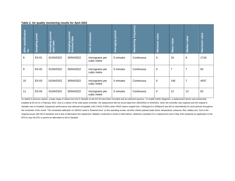#### **Table 2. Air quality monitoring results for April 2022**

| EPA identification<br>no. | Sampling point | period<br>Sampling<br>start date | eriod<br>ate<br>$\Omega$<br>ਠ<br>ō<br>Sampling<br>finished | sure<br>mea<br>৳<br>ji        | period<br>Averaging | <b>Monitoring frequency</b> | value<br>Minimum | value<br><b>Mean</b> | value<br>Median | value<br>Maximum |
|---------------------------|----------------|----------------------------------|------------------------------------------------------------|-------------------------------|---------------------|-----------------------------|------------------|----------------------|-----------------|------------------|
| 8                         | ES-01          | 01/04/2022                       | 30/04/2022                                                 | micrograms per<br>cubic metre | 5 minutes           | Continuous                  | 0                | 19                   | 9               | 1718             |
| 9                         | ES-02          | 01/04/2022                       | 30/04/2022                                                 | micrograms per<br>cubic metre | 5 minutes           | Continuous                  | 0                | $\overline{7}$       | 7               | 82               |
| 10                        | ES-03          | 01/04/2022                       | 30/04/2022                                                 | micrograms per<br>cubic metre | 5 minutes           | Continuous                  | 0                | 146                  | $\overline{7}$  | 4037             |
| 11                        | ES-04          | 01/04/2022                       | 30/04/2022                                                 | micrograms per<br>cubic metre | 5 minutes           | Continuous                  | 0                | 12                   | 12              | 62               |

<span id="page-2-0"></span>As stated in previous reports, a large range of values from the E-Sampler at site ES-03 have been recorded and are deemed spurious. To enable further diagnosis, a replacement device was temporarily installed at ES-03 on 3 February 2022. Due to a failure of the solar panel controller, the replacement did not record data from 28/03/2022 to 5/04/2022, when the controller was replaced and the original E-Sampler was re-installed. Equipment performance was deemed acceptable until 17/4/22 0:55hrs when PM10 values ranged from >1500µg/m3 to 4000µ/m3 and did so intermittently for short periods throughout the remainder of the month. The scheduled calibration on 28/4/22 noted a 'Solenoid error' on the operating screen; all other checks passed (leak check, temperature, pressure, flow, battery etc). Due to the ongoing issues with the E-Samplers and a lack of alternative hire equipment, Malabar conducted a review of alternatives, obtained a quotation for a replacement and in May 2022 prepared an application to the EPA to vary the EPL to permit an alternative to the E-Sampler.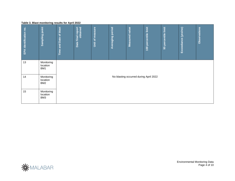#### **Table 3. Blast monitoring results for April 2022**

<span id="page-3-0"></span>

| EPA identification no. | point<br>Sampling                         | blast<br>৳<br>Date<br>and<br>Time | <b>nal report</b><br>obtained<br>final<br>Date | Unit of measure | period<br>Averaging | Measured value                         | limit<br>percentile<br>100 | limit<br>percentile<br>95 | Exceedance (yes/no) | Observations |  |  |  |
|------------------------|-------------------------------------------|-----------------------------------|------------------------------------------------|-----------------|---------------------|----------------------------------------|----------------------------|---------------------------|---------------------|--------------|--|--|--|
| 13                     | Monitoring<br>location<br>BM1             |                                   |                                                |                 |                     |                                        |                            |                           |                     |              |  |  |  |
| 14                     | Monitoring<br>location<br>BM <sub>2</sub> |                                   |                                                |                 |                     | No blasting occurred during April 2022 |                            |                           |                     |              |  |  |  |
| 15                     | Monitoring<br>location<br>BM3             |                                   |                                                |                 |                     |                                        |                            |                           |                     |              |  |  |  |



Environmental Monitoring Data Page 4 of 10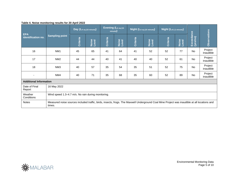## **Table 4. Noise monitoring results for 20 April 2022**

<span id="page-4-0"></span>

| <b>EPA</b><br>identification no. | <b>Sampling point</b>                                                                                                                                  | Day (LA eq (15 minute)) |                | Evening (LA eq (15<br>minute) |                | Night (LA eq (15 minute)) |                | Night (LA1 (1 minute)) |                |                        |                      |
|----------------------------------|--------------------------------------------------------------------------------------------------------------------------------------------------------|-------------------------|----------------|-------------------------------|----------------|---------------------------|----------------|------------------------|----------------|------------------------|----------------------|
|                                  |                                                                                                                                                        | <b>Criteria</b>         | Noise<br>Level | Criteria                      | Noise<br>Level | Criteria                  | Noise<br>Level | <b>Criteria</b>        | Noise<br>Level | Exceedance<br>(yes/no) | <b>Observations</b>  |
| 16                               | NM <sub>1</sub>                                                                                                                                        | 45                      | 65             | 41                            | 64             | 41                        | 52             | 52                     | 77             | No                     | Project<br>inaudible |
| 17                               | NM <sub>2</sub>                                                                                                                                        | 44                      | 44             | 40                            | 41             | 40                        | 40             | 52                     | 61             | No                     | Project<br>inaudible |
| 18                               | NM <sub>3</sub>                                                                                                                                        | 40                      | 57             | 35                            | 54             | 35                        | 51             | 52                     | 75             | No                     | Project<br>inaudible |
| $\overline{\phantom{0}}$         | NM4                                                                                                                                                    | 40                      | 71             | 35                            | 68             | 35                        | 60             | 52                     | 89             | No                     | Project<br>inaudible |
| <b>Additional Information</b>    |                                                                                                                                                        |                         |                |                               |                |                           |                |                        |                |                        |                      |
| Date of Final<br>Report          | 16 May 2022                                                                                                                                            |                         |                |                               |                |                           |                |                        |                |                        |                      |
| Weather<br>Conditions            | Wind speed 1.3–4.7 m/s. No rain during monitoring.                                                                                                     |                         |                |                               |                |                           |                |                        |                |                        |                      |
| Notes                            | Measured noise sources included traffic, birds, insects, frogs. The Maxwell Underground Coal Mine Project was inaudible at all locations and<br>times. |                         |                |                               |                |                           |                |                        |                |                        |                      |



Environmental Monitoring Data Page 5 of 10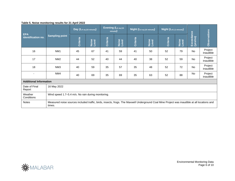## **Table 5. Noise monitoring results for 21 April 2022**

|                                  | <b>Sampling point</b>                                                                                                                                  | Day (LA eq (15 minute)) |                | Evening (LA eq (15<br>minute) |                | Night (LA eq (15 minute)) |                | Night (LA1 (1 minute)) |                |                        |                      |
|----------------------------------|--------------------------------------------------------------------------------------------------------------------------------------------------------|-------------------------|----------------|-------------------------------|----------------|---------------------------|----------------|------------------------|----------------|------------------------|----------------------|
| <b>EPA</b><br>identification no. |                                                                                                                                                        | <b>Criteria</b>         | Noise<br>Level | Criteria                      | Noise<br>Level | Criteria                  | Noise<br>Level | Criteria               | Noise<br>Level | Exceedance<br>(yes/no) | <b>Observations</b>  |
| 16                               | NM <sub>1</sub>                                                                                                                                        | 45                      | 67             | 41                            | 59             | 41                        | 50             | 52                     | 79             | No                     | Project<br>inaudible |
| 17                               | NM <sub>2</sub>                                                                                                                                        | 44                      | 52             | 40                            | 44             | 40                        | 38             | 52                     | 59             | No                     | Project<br>inaudible |
| 18                               | NM <sub>3</sub>                                                                                                                                        | 40                      | 59             | 35                            | 57             | 35                        | 48             | 52                     | 72             | No                     | Project<br>inaudible |
|                                  | NM4                                                                                                                                                    | 40                      | 69             | 35                            | 69             | 35                        | 63             | 52                     | 88             | No                     | Project<br>inaudible |
| <b>Additional Information</b>    |                                                                                                                                                        |                         |                |                               |                |                           |                |                        |                |                        |                      |
| Date of Final<br>Report          | 16 May 2022                                                                                                                                            |                         |                |                               |                |                           |                |                        |                |                        |                      |
| Weather<br>Conditions            | Wind speed 1.7-5.4 m/s. No rain during monitoring.                                                                                                     |                         |                |                               |                |                           |                |                        |                |                        |                      |
| <b>Notes</b>                     | Measured noise sources included traffic, birds, insects, frogs. The Maxwell Underground Coal Mine Project was inaudible at all locations and<br>times. |                         |                |                               |                |                           |                |                        |                |                        |                      |

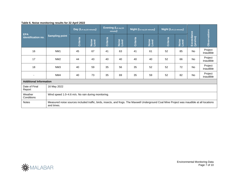## **Table 6. Noise monitoring results for 22 April 2022**

|                                  | <b>Sampling point</b>                                                                                                                                      | Day (LA eq (15 minute)) |                | Evening (LA eq (15<br>minute) |                | Night (LA eq (15 minute)) |                | Night (LA1 (1 minute)) |                |                        |                      |
|----------------------------------|------------------------------------------------------------------------------------------------------------------------------------------------------------|-------------------------|----------------|-------------------------------|----------------|---------------------------|----------------|------------------------|----------------|------------------------|----------------------|
| <b>EPA</b><br>identification no. |                                                                                                                                                            | <b>Criteria</b>         | Noise<br>Level | <b>Criteria</b>               | Noise<br>Level | <b>Criteria</b>           | Noise<br>Level | Criteria               | Noise<br>Level | Exceedance<br>(yes/no) | Observations         |
| 16                               | NM <sub>1</sub>                                                                                                                                            | 45                      | 67             | 41                            | 63             | 41                        | 61             | 52                     | 85             | No                     | Project<br>inaudible |
| 17                               | NM <sub>2</sub>                                                                                                                                            | 44                      | 43             | 40                            | 40             | 40                        | 40             | 52                     | 66             | No                     | Project<br>inaudible |
| 18                               | NM <sub>3</sub>                                                                                                                                            | 40                      | 59             | 35                            | 56             | 35                        | 52             | 52                     | 72             | <b>No</b>              | Project<br>inaudible |
| $\overline{\phantom{a}}$         | NM4                                                                                                                                                        | 40                      | 73             | 35                            | 69             | 35                        | 59             | 52                     | 82             | No                     | Project<br>inaudible |
| <b>Additional Information</b>    |                                                                                                                                                            |                         |                |                               |                |                           |                |                        |                |                        |                      |
| Date of Final<br>Report          | 16 May 2022                                                                                                                                                |                         |                |                               |                |                           |                |                        |                |                        |                      |
| Weather<br>Conditions            | Wind speed 1.0–4.6 m/s. No rain during monitoring.                                                                                                         |                         |                |                               |                |                           |                |                        |                |                        |                      |
| <b>Notes</b>                     | Measured noise sources included traffic, birds, insects, and frogs. The Maxwell Underground Coal Mine Project was inaudible at all locations<br>and times. |                         |                |                               |                |                           |                |                        |                |                        |                      |

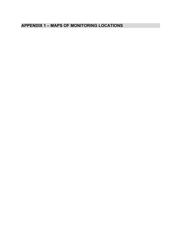# <span id="page-7-0"></span>**APPENDIX 1 – MAPS OF MONITORING LOCATIONS**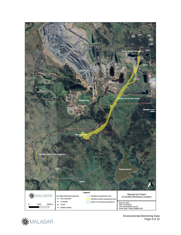



Environmental Monitoring Data Page 9 of 10